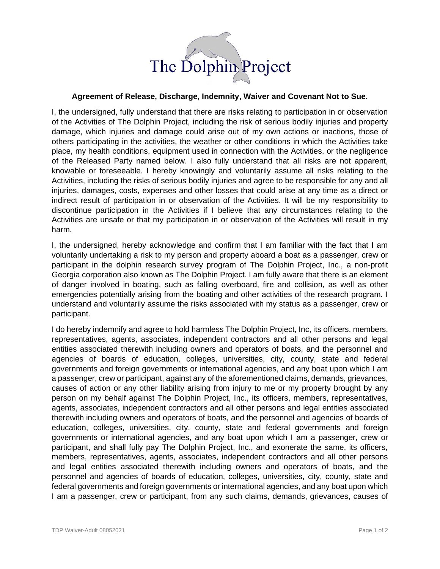

## **Agreement of Release, Discharge, Indemnity, Waiver and Covenant Not to Sue.**

I, the undersigned, fully understand that there are risks relating to participation in or observation of the Activities of The Dolphin Project, including the risk of serious bodily injuries and property damage, which injuries and damage could arise out of my own actions or inactions, those of others participating in the activities, the weather or other conditions in which the Activities take place, my health conditions, equipment used in connection with the Activities, or the negligence of the Released Party named below. I also fully understand that all risks are not apparent, knowable or foreseeable. I hereby knowingly and voluntarily assume all risks relating to the Activities, including the risks of serious bodily injuries and agree to be responsible for any and all injuries, damages, costs, expenses and other losses that could arise at any time as a direct or indirect result of participation in or observation of the Activities. It will be my responsibility to discontinue participation in the Activities if I believe that any circumstances relating to the Activities are unsafe or that my participation in or observation of the Activities will result in my harm.

I, the undersigned, hereby acknowledge and confirm that I am familiar with the fact that I am voluntarily undertaking a risk to my person and property aboard a boat as a passenger, crew or participant in the dolphin research survey program of The Dolphin Project, Inc., a non-profit Georgia corporation also known as The Dolphin Project. I am fully aware that there is an element of danger involved in boating, such as falling overboard, fire and collision, as well as other emergencies potentially arising from the boating and other activities of the research program. I understand and voluntarily assume the risks associated with my status as a passenger, crew or participant.

I do hereby indemnify and agree to hold harmless The Dolphin Project, Inc, its officers, members, representatives, agents, associates, independent contractors and all other persons and legal entities associated therewith including owners and operators of boats, and the personnel and agencies of boards of education, colleges, universities, city, county, state and federal governments and foreign governments or international agencies, and any boat upon which I am a passenger, crew or participant, against any of the aforementioned claims, demands, grievances, causes of action or any other liability arising from injury to me or my property brought by any person on my behalf against The Dolphin Project, Inc., its officers, members, representatives, agents, associates, independent contractors and all other persons and legal entities associated therewith including owners and operators of boats, and the personnel and agencies of boards of education, colleges, universities, city, county, state and federal governments and foreign governments or international agencies, and any boat upon which I am a passenger, crew or participant, and shall fully pay The Dolphin Project, Inc., and exonerate the same, its officers, members, representatives, agents, associates, independent contractors and all other persons and legal entities associated therewith including owners and operators of boats, and the personnel and agencies of boards of education, colleges, universities, city, county, state and federal governments and foreign governments or international agencies, and any boat upon which I am a passenger, crew or participant, from any such claims, demands, grievances, causes of